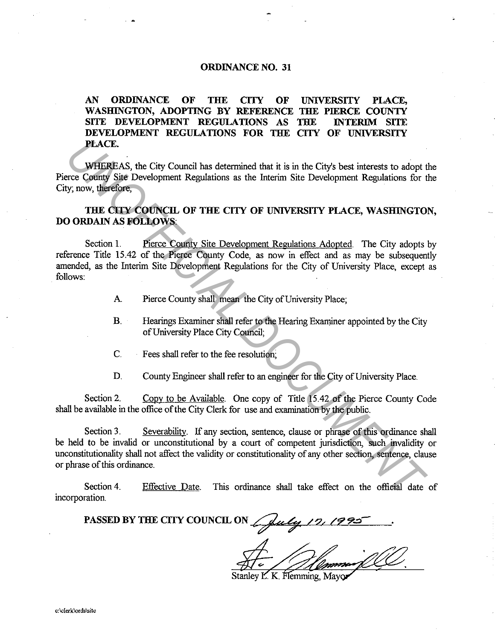## **ORDINANCE NO. 31**

## **AN ORDINANCE OF THE CITY OF UNIVERSITY PLACE, WASHINGTON, ADOPTING BY REFERENCE THE PIERCE COUNTY SITE DEVELOPMENT REGULATIONS AS THE INTERIM SITE DEVELOPMENT REGULATIONS FOR THE CITY OF UNIVERSITY PLACE.**

WHEREAS, the City Council has determined that it is in the City's best interests to adopt the Pierce County Site Development Regulations as the Interim Site Development Regulations for the City; now, therefore,

## **THE CITY COUNCIL OF THE CITY OF UNIVERSITY PLACE, WASHINGTON, DO ORDAIN AS FOLLOWS:**

Section 1. Pierce County Site Development Regulations Adopted. The City adopts by reference Title 15.42 of the Pierce County Code, as now in effect and as may be subsequently amended, as the Interim Site Development Regulations for the City of University Place, except as follows:

- A. Pierce County shall mean the City of University Place;
- B. Hearings Examiner shall refer to the Hearing Examiner appointed by the City of University Place City Council;
- C. Fees shall refer to the fee resolution;
- D. County Engineer shall refer to an engineer for the City of University Place.

Section 2. Copy to be Available. One copy of Title 15.42 of the Pierce County Code shall be available in the office of the City Clerk for use and examination by the public.

Section 3. Severability. If any section, sentence, clause or phrase of this ordinance shall be held to be invalid or unconstitutional by a court of competent jurisdiction, such invalidity or unconstitutionality shall not affect the validity or constitutionality of any other section, sentence, clause or phrase of this ordinance. **PLACE.**<br> **WHEREAS, the City Council has determined that it is in the City's best interests to adopt tree Confits Sign Development Regulations as the Interim Site Development Regulations for the City, only, therefore,<br>
THE** 

Section 4. incorporation. Effective Date. This ordinance shall take effect on the official date of

PASSED BY THE CITY COUNCIL ON  $\sqrt{\mu\mu\mu}$  /2, **/99.** 

Stanley L. K. Flemming, Mayor